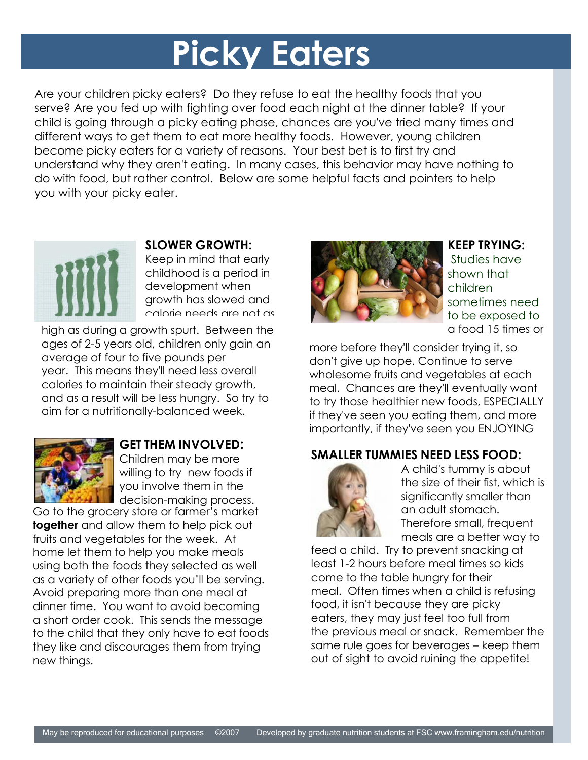# **Picky Eaters**

Are your children picky eaters? Do they refuse to eat the healthy foods that you serve? Are you fed up with fighting over food each night at the dinner table? If your child is going through a picky eating phase, chances are you've tried many times and different ways to get them to eat more healthy foods. However, young children become picky eaters for a variety of reasons. Your best bet is to first try and understand why they aren't eating. In many cases, this behavior may have nothing to do with food, but rather control. Below are some helpful facts and pointers to help you with your picky eater.



#### **SLOWER GROWTH:**

Keep in mind that early childhood is a period in development when growth has slowed and calorie needs are not as

high as during a growth spurt. Between the ages of 2-5 years old, children only gain an average of four to five pounds per year. This means they'll need less overall calories to maintain their steady growth, and as a result will be less hungry. So try to aim for a nutritionally-balanced week.



## **GET THEM INVOLVED:**

Children may be more willing to try new foods if you involve them in the decision-making process.

Go to the grocery store or farmer's market **together** and allow them to help pick out fruits and vegetables for the week. At home let them to help you make meals using both the foods they selected as well as a variety of other foods you'll be serving. Avoid preparing more than one meal at dinner time. You want to avoid becoming a short order cook. This sends the message to the child that they only have to eat foods they like and discourages them from trying new things.



#### **KEEP TRYING:**

Studies have shown that children sometimes need to be exposed to a food 15 times or

more before they'll consider trying it, so don't give up hope. Continue to serve wholesome fruits and vegetables at each meal. Chances are they'll eventually want to try those healthier new foods, ESPECIALLY if they've seen you eating them, and more importantly, if they've seen you ENJOYING

## **SMALLER TUMMIES NEED LESS FOOD:**



A child's tummy is about the size of their fist, which is significantly smaller than an adult stomach. Therefore small, frequent meals are a better way to

feed a child. Try to prevent snacking at least 1-2 hours before meal times so kids come to the table hungry for their meal. Often times when a child is refusing food, it isn't because they are picky eaters, they may just feel too full from the previous meal or snack. Remember the same rule goes for beverages – keep them out of sight to avoid ruining the appetite!